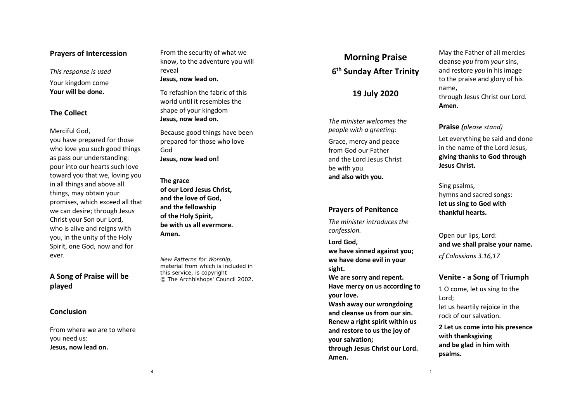## **Prayers of Intercession**

*This response is used*

Your kingdom come **Your will be done.**

## **The Collect**

Merciful God,

you have prepared for those who love you such good things as pass our understanding: pour into our hearts such love toward you that we, loving you in all things and above all things, may obtain your promises, which exceed all that we can desire; through Jesus Christ your Son our Lord, who is alive and reigns with you, in the unity of the Holy Spirit, one God, now and for ever.

# **A Song of Praise will be played**

#### **Conclusion**

From where we are to where you need us: **Jesus, now lead on.**

From the security of what we know, to the adventure you will reveal **Jesus, now lead on.**

To refashion the fabric of this world until it resembles the shape of your kingdom **Jesus, now lead on.**

Because good things have been prepared for those who love God **Jesus, now lead on!**

**The grace of our Lord Jesus Christ, and the love of God, and the fellowship of the Holy Spirit, be with us all evermore. Amen.**

*New Patterns for Worship*, material from which is included in this service, is copyright © The Archbishops' Council 2002.

# **Morning Praise 6th Sunday After Trinity**

## **19 July 2020**

*The minister welcomes the people with a greeting:*

Grace, mercy and peace from God our Father and the Lord Jesus Christ be with you . **and also with you.**

#### **Prayers of Penitence**

*The minister introduces the confession.*

**Lord God, we have sinned against you;**

**we have done evil in your sight.**

**We are sorry and repent. Have mercy on us according to your love.**

**Wash away our wrongdoing and cleanse us from our sin. Renew a right spirit within us and restore to us the joy of your salvation;**

**through Jesus Christ our Lord. Amen.** 

May the Father of all mercies cleanse *you* from *your* sins, and restore *you* in his image to the praise and glory of his name, through Jesus Christ our Lord.

**Amen** .

#### **Praise** *(please stand)*

Let everything be said and done in the name of the Lord Jesus, **giving thanks to God through Jesus Christ.**

Sing psalms, hymns and sacred songs: **let us sing to God with thankful hearts.**

Open our lips, Lord: **and we shall praise your name.** *cf Colossians 3.16,17*

#### **Venite - a Song of Triumph**

1 O come, let us sing to the Lord; let us heartily rejoice in the rock of our salvation.

**2 Let us come into his presence with thanksgiving and be glad in him with psalms.**